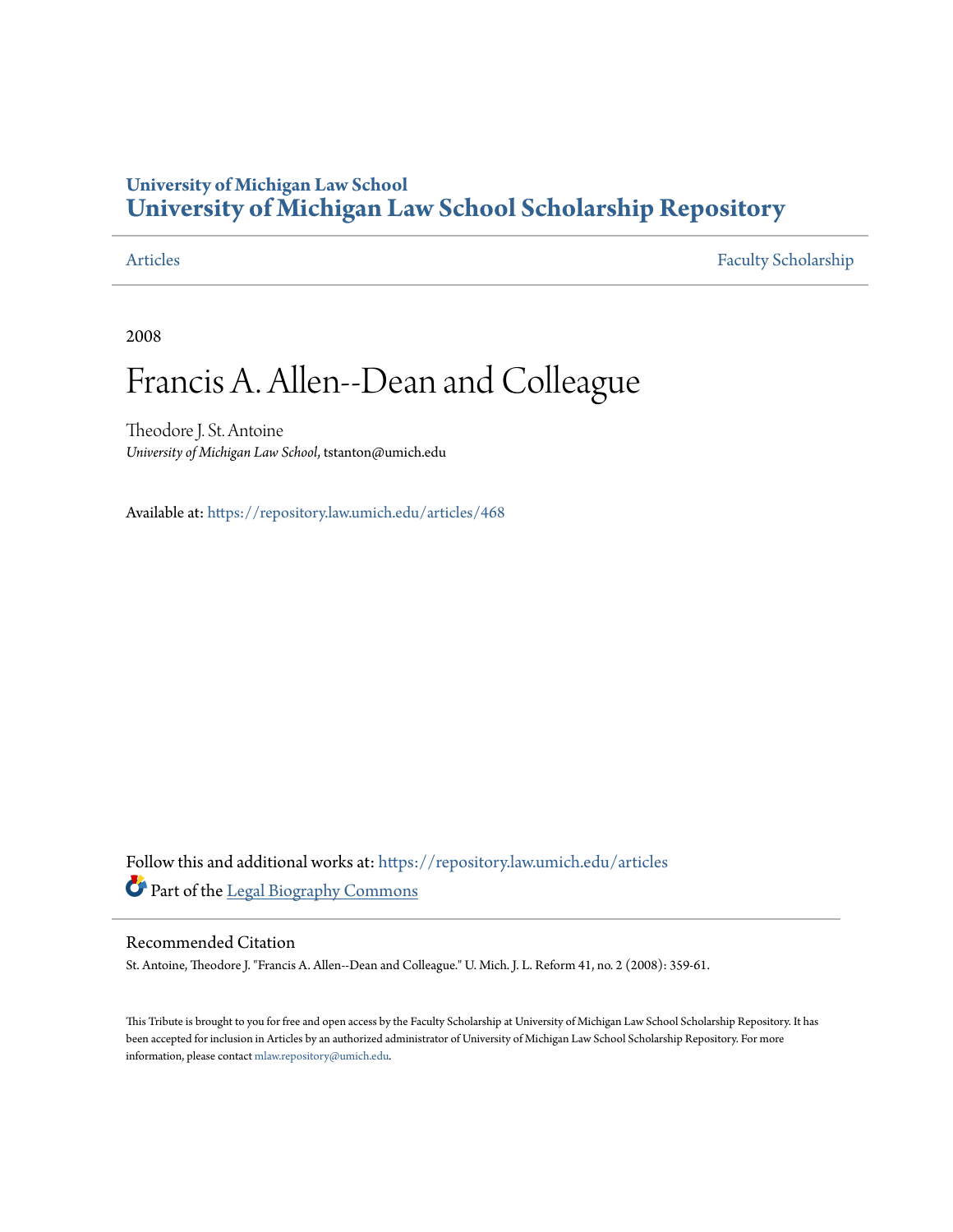## **University of Michigan Law School [University of Michigan Law School Scholarship Repository](https://repository.law.umich.edu?utm_source=repository.law.umich.edu%2Farticles%2F468&utm_medium=PDF&utm_campaign=PDFCoverPages)**

[Articles](https://repository.law.umich.edu/articles?utm_source=repository.law.umich.edu%2Farticles%2F468&utm_medium=PDF&utm_campaign=PDFCoverPages) [Faculty Scholarship](https://repository.law.umich.edu/faculty_scholarship?utm_source=repository.law.umich.edu%2Farticles%2F468&utm_medium=PDF&utm_campaign=PDFCoverPages)

2008

## Francis A. Allen--Dean and Colleague

Theodore J. St. Antoine *University of Michigan Law School*, tstanton@umich.edu

Available at: <https://repository.law.umich.edu/articles/468>

Follow this and additional works at: [https://repository.law.umich.edu/articles](https://repository.law.umich.edu/articles?utm_source=repository.law.umich.edu%2Farticles%2F468&utm_medium=PDF&utm_campaign=PDFCoverPages) Part of the [Legal Biography Commons](http://network.bepress.com/hgg/discipline/834?utm_source=repository.law.umich.edu%2Farticles%2F468&utm_medium=PDF&utm_campaign=PDFCoverPages)

## Recommended Citation

St. Antoine, Theodore J. "Francis A. Allen--Dean and Colleague." U. Mich. J. L. Reform 41, no. 2 (2008): 359-61.

This Tribute is brought to you for free and open access by the Faculty Scholarship at University of Michigan Law School Scholarship Repository. It has been accepted for inclusion in Articles by an authorized administrator of University of Michigan Law School Scholarship Repository. For more information, please contact [mlaw.repository@umich.edu.](mailto:mlaw.repository@umich.edu)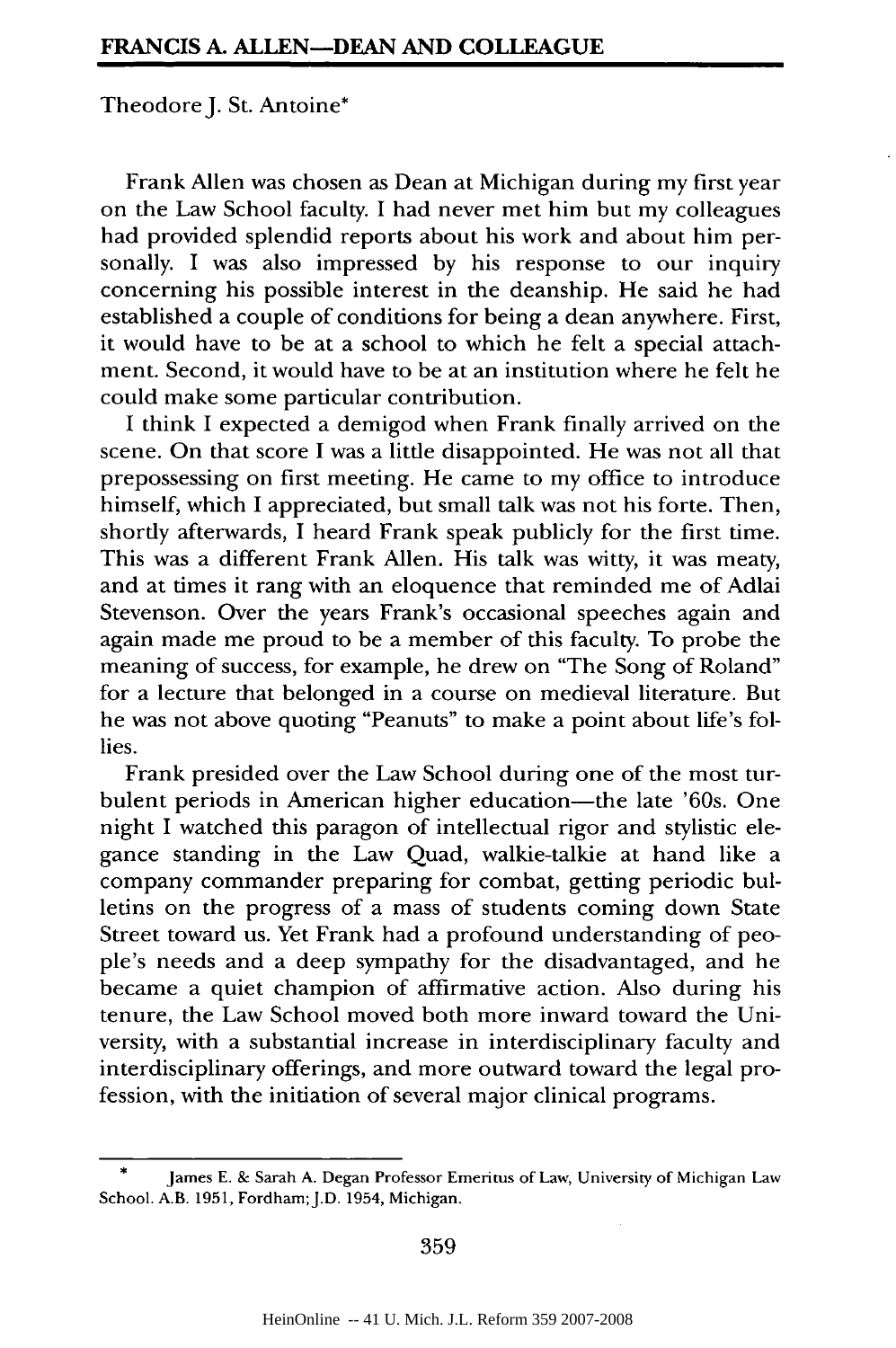Theodore J. St. Antoine\*

Frank Allen was chosen as Dean at Michigan during my first year on the Law School faculty. I had never met him but my colleagues had provided splendid reports about his work and about him personally. I was also impressed by his response to our inquiry concerning his possible interest in the deanship. He said he had established a couple of conditions for being a dean anywhere. First, it would have to be at a school to which he felt a special attachment. Second, it would have to be at an institution where he felt he could make some particular contribution.

I think I expected a demigod when Frank finally arrived on the scene. On that score I was a little disappointed. He was not all that prepossessing on first meeting. He came to my office to introduce himself, which I appreciated, but small talk was not his forte. Then, shortly afterwards, I heard Frank speak publicly for the first time. This was a different Frank Allen. His talk was witty, it was meaty, and at times it rang with an eloquence that reminded me of Adlai Stevenson. Over the years Frank's occasional speeches again and again made me proud to be a member of this faculty. To probe the meaning of success, for example, he drew on "The Song of Roland" for a lecture that belonged in a course on medieval literature. But he was not above quoting "Peanuts" to make a point about life's follies.

Frank presided over the Law School during one of the most turbulent periods in American higher education—the late '60s. One night I watched this paragon of intellectual rigor and stylistic elegance standing in the Law Quad, walkie-talkie at hand like a company commander preparing for combat, getting periodic bulletins on the progress of a mass of students coming down State Street toward us. Yet Frank had a profound understanding of people's needs and a deep sympathy for the disadvantaged, and he became a quiet champion of affirmative action. Also during his tenure, the Law School moved both more inward toward the University, with a substantial increase in interdisciplinary faculty and interdisciplinary offerings, and more outward toward the legal profession, with the initiation of several major clinical programs.

**359**

James E. & Sarah A. Degan Professor Emeritus of Law, University of Michigan Law School. A.B. 1951, Fordham; J.D. 1954, Michigan.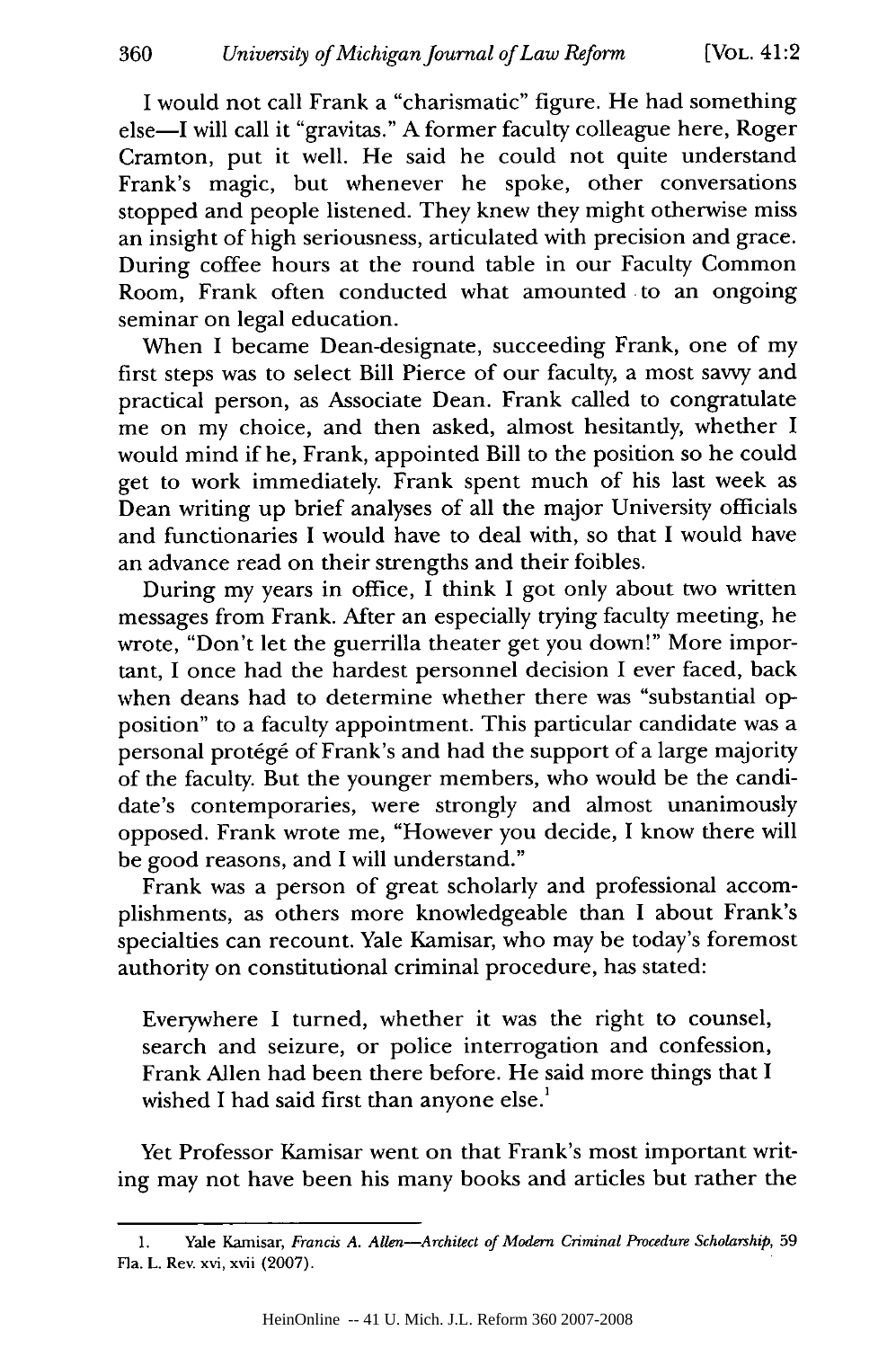I would not call Frank a "charismatic" figure. He had something else-I will call it "gravitas." A former faculty colleague here, Roger Cramton, put it well. He said he could not quite understand Frank's magic, but whenever he spoke, other conversations stopped and people listened. They knew they might otherwise miss an insight of high seriousness, articulated with precision and grace. During coffee hours at the round table in our Faculty Common Room, Frank often conducted what amounted to an ongoing seminar on legal education.

When I became Dean-designate, succeeding Frank, one of my first steps was to select Bill Pierce of our faculty, a most savvy and practical person, as Associate Dean. Frank called to congratulate me on my choice, and then asked, almost hesitantly, whether I would mind if he, Frank, appointed Bill to the position so he could get to work immediately. Frank spent much of his last week as Dean writing up brief analyses of all the major University officials and functionaries I would have to deal with, so that I would have an advance read on their strengths and their foibles.

During my years in office, I think I got only about two written messages from Frank. After an especially trying faculty meeting, he wrote, "Don't let the guerrilla theater get you down!" More important, I once had the hardest personnel decision I ever faced, back when deans had to determine whether there was "substantial opposition" to a faculty appointment. This particular candidate was a personal protégé of Frank's and had the support of a large majority of the faculty. But the younger members, who would be the candidate's contemporaries, were strongly and almost unanimously opposed. Frank wrote me, "However you decide, I know there will be good reasons, and I will understand."

Frank was a person of great scholarly and professional accomplishments, as others more knowledgeable than I about Frank's specialties can recount. Yale Kamisar, who may be today's foremost authority on constitutional criminal procedure, has stated:

Everywhere I turned, whether it was the right to counsel, search and seizure, or police interrogation and confession, Frank Allen had been there before. He said more things that I wished I had said first than anyone else.<sup>1</sup>

Yet Professor Kamisar went on that Frank's most important writing may not have been his many books and articles but rather the

<sup>1.</sup> Yale Kamisar, *Francis A. Allen-Architect of Modern Criminal Procedure Scholarship,* 59 Fla. L. Rev. xvi, xvii (2007).